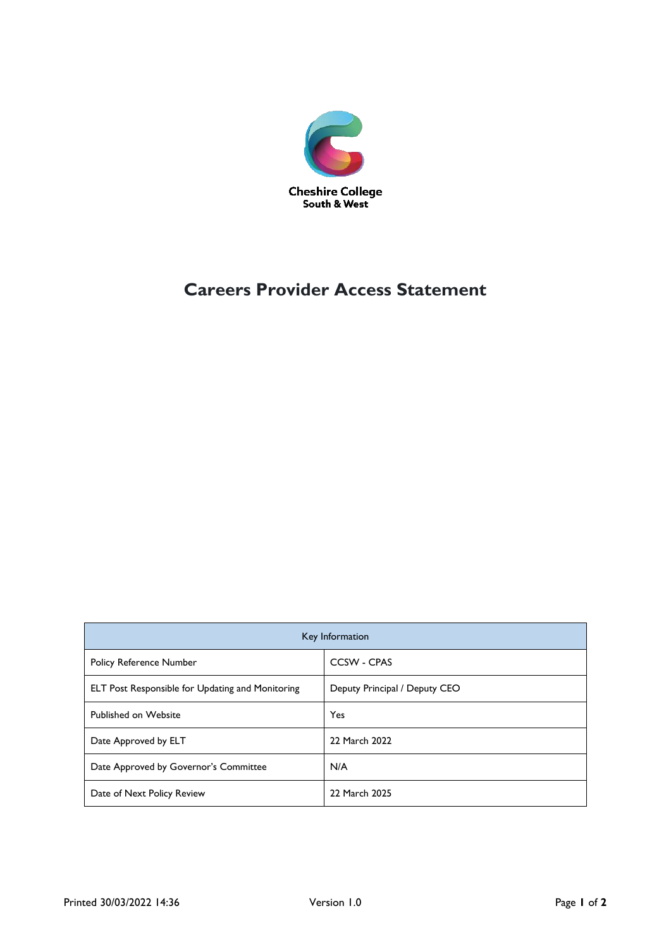

# **Careers Provider Access Statement**

| Key Information                                         |                               |
|---------------------------------------------------------|-------------------------------|
| <b>Policy Reference Number</b>                          | CCSW - CPAS                   |
| <b>ELT Post Responsible for Updating and Monitoring</b> | Deputy Principal / Deputy CEO |
| Published on Website                                    | <b>Yes</b>                    |
| Date Approved by ELT                                    | 22 March 2022                 |
| Date Approved by Governor's Committee                   | N/A                           |
| Date of Next Policy Review                              | 22 March 2025                 |